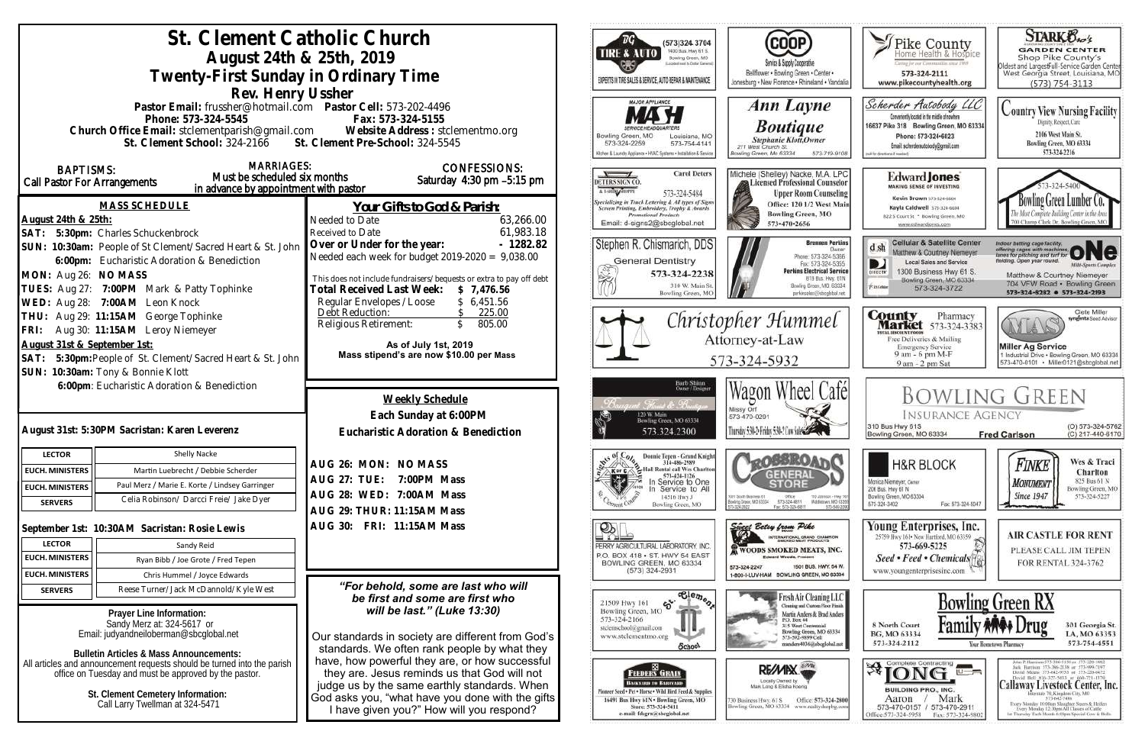|                                                                                                                                  | St. Clement Catholic Church                                                                      | (573)324 3704                                                                                                                                     |                                                                                                 |                                                                                                                                      |
|----------------------------------------------------------------------------------------------------------------------------------|--------------------------------------------------------------------------------------------------|---------------------------------------------------------------------------------------------------------------------------------------------------|-------------------------------------------------------------------------------------------------|--------------------------------------------------------------------------------------------------------------------------------------|
|                                                                                                                                  | August 24th & 25th, 2019                                                                         | 1400 Bus. Hwy 61 S.<br><b>TIRE &amp; AUTO</b><br>Bowling Green, MO                                                                                |                                                                                                 |                                                                                                                                      |
|                                                                                                                                  |                                                                                                  |                                                                                                                                                   | Service & Supply Cooperativ<br>Bellflower . Bowling Green . Center .                            |                                                                                                                                      |
|                                                                                                                                  | Twenty-First Sunday in Ordinary Time                                                             | EXPERTS IN TIRE SALES & SERVICE, AUTO REPAIR & MAINTENANCE                                                                                        | Jonesburg . New Florence . Rhineland . Vandal                                                   |                                                                                                                                      |
|                                                                                                                                  | Rev. Henry Ussher<br>Pastor Email: frussher@hotmail.com    Pastor Cell: 573-202-4496             | <b>MAJOR APPLIANCE</b>                                                                                                                            |                                                                                                 |                                                                                                                                      |
|                                                                                                                                  |                                                                                                  |                                                                                                                                                   | <b>Ann Layne</b>                                                                                |                                                                                                                                      |
|                                                                                                                                  | Phone: 573-324-5545                                                                              | Fax: 573-324-5155                                                                                                                                 |                                                                                                 | <b>Boutique</b>                                                                                                                      |
|                                                                                                                                  |                                                                                                  | Church Office Email: stclementparish@gmail.com Website Address : stclementmo.org<br>St. Clement School: 324-2166 St. Clement Pre-School: 324-5545 | Louisiana, MO<br>Bowling Green, MO<br>573-324-2259<br>573-754-4141                              | Stephanie Klott, Owner<br>211 West Church St.                                                                                        |
|                                                                                                                                  |                                                                                                  |                                                                                                                                                   | Kitchen & Laundry Appliance . HVAC Systems . Installation & Service                             | Rowling Green, Mo 63334<br>573-719-910                                                                                               |
| <b>BAPTISMS:</b>                                                                                                                 | <b>MARRIAGES:</b>                                                                                | <b>CONFESSIONS:</b>                                                                                                                               | <b>Carol Deters</b>                                                                             |                                                                                                                                      |
| Call Pastor For Arrangements                                                                                                     | Must be scheduled six months<br>in advance by appointment with pastor                            | Saturday 4:30 pm -5:15 pm                                                                                                                         | DETERS SIGN CO.<br>A T-SHIN GROPPE                                                              | Michele (Shelley) Nacke, M.A. LP(                                                                                                    |
|                                                                                                                                  |                                                                                                  |                                                                                                                                                   | 573-324-5484<br>pecializing in Truck Lettering & All types of Signs                             | <b>Upper Room Counseling</b><br>Office: 120 1/2 West Mai                                                                             |
|                                                                                                                                  | <b>MASS SCHEDULE</b>                                                                             | <u>Your Gifts to God &amp; Parish:</u>                                                                                                            | Screen Printing, Embroidery, Trophy & Awards<br><b>Promotional Products</b>                     | <b>Bowling Green, MO</b>                                                                                                             |
| August 24th & 25th:                                                                                                              |                                                                                                  | Needed to Date<br>63,266.00<br>61,983.18<br>Received to Date                                                                                      | Email: d-signs2@sbcglobal.ne                                                                    | 573-470-2656                                                                                                                         |
|                                                                                                                                  | SAT: 5:30pm: Charles Schuckenbrock<br>SUN: 10:30am: People of St Clement/Sacred Heart & St. John | Over or Under for the year:<br>$-1282.82$                                                                                                         | Stephen R. Chismarich, DDS                                                                      | <b>Brennen Perkin</b>                                                                                                                |
|                                                                                                                                  |                                                                                                  | Needed each week for budget $2019-2020 = 9,038.00$                                                                                                | <b>General Dentistry</b>                                                                        | Phone: 573-324-5366                                                                                                                  |
|                                                                                                                                  | 6:00pm: Eucharistic Adoration & Benediction                                                      |                                                                                                                                                   | 573-324-2238                                                                                    | Fax: 573-324-5355<br><b>Perkins Electrical Servic</b>                                                                                |
| MON: Aug 26: NO MASS                                                                                                             | TUES: Aug 27: 7:00PM Mark & Patty Tophinke                                                       | This does not include fundraisers/bequests or extra to pay off debt                                                                               | 310 W. Main St                                                                                  | B19 Bus. Hwy. 61N<br>Bowling Green, MO. 63334                                                                                        |
|                                                                                                                                  | WED: Aug 28: 7:00AM Leon Knock                                                                   | Total Received Last Week:<br>\$7,476.56<br>Regular Envelopes / Loose<br>\$6,451.56                                                                | Bowling Green, MO                                                                               | perkinselec@shcolobal.net                                                                                                            |
|                                                                                                                                  | THU: Aug 29: 11:15AM George Tophinke                                                             | Debt Reduction:<br>\$ 225.00                                                                                                                      |                                                                                                 |                                                                                                                                      |
|                                                                                                                                  | FRI: Aug 30: 11:15AM Leroy Niemeyer                                                              | Religious Retirement:<br>$\mathcal{S}$<br>805.00                                                                                                  | Christopher Hummel<br>Attorney-at-Law                                                           |                                                                                                                                      |
| August 31st & September 1st:                                                                                                     |                                                                                                  | As of July 1st, 2019                                                                                                                              |                                                                                                 |                                                                                                                                      |
|                                                                                                                                  | SAT: 5:30pm: People of St. Clement/Sacred Heart & St. John                                       | Mass stipend's are now \$10.00 per Mass                                                                                                           | 573-324-5932                                                                                    |                                                                                                                                      |
|                                                                                                                                  | SUN: 10:30am: Tony & Bonnie Klott                                                                |                                                                                                                                                   |                                                                                                 |                                                                                                                                      |
|                                                                                                                                  | 6:00pm: Eucharistic Adoration & Benediction                                                      |                                                                                                                                                   | Barb Shinn<br>Owner/Designe                                                                     |                                                                                                                                      |
|                                                                                                                                  |                                                                                                  | Weekly Schedule                                                                                                                                   |                                                                                                 | Wagon Wheel Cafe                                                                                                                     |
|                                                                                                                                  |                                                                                                  | Each Sunday at 6:00PM                                                                                                                             |                                                                                                 | Missy Orf<br>573-470-0291                                                                                                            |
|                                                                                                                                  | August 31st: 5:30PM Sacristan: Karen Leverenz                                                    | Eucharistic Adoration & Benediction                                                                                                               | Bowling Green, MO 63334.<br>573.324.2300                                                        | Thursday 5:30 2: Friday 5:3                                                                                                          |
|                                                                                                                                  |                                                                                                  |                                                                                                                                                   |                                                                                                 |                                                                                                                                      |
| <b>LECTOR</b>                                                                                                                    | Shelly Nacke                                                                                     | AUG 26: MON: NO MASS                                                                                                                              | Donnie Tepen - Grand Knight<br>314-486-2989                                                     |                                                                                                                                      |
| <b>EUCH. MINISTERS</b>                                                                                                           | Martin Luebrecht / Debbie Scherder                                                               | <b>AUG 27: TUE:</b><br>7:00PM Mass                                                                                                                | Hall Rental call Wes Charlton<br>K or C<br>573-424-1126<br>In Service to One                    |                                                                                                                                      |
| <b>EUCH. MINISTERS</b>                                                                                                           | Paul Merz / Marie E. Korte / Lindsey Garringer                                                   | AUG 28: WED: 7:00AM Mass                                                                                                                          | Service to All                                                                                  | 1001 South Business 61<br>Ofice                                                                                                      |
| <b>SERVERS</b>                                                                                                                   | Celia Robinson/ Darcci Freie/ Jake Dyer                                                          | AUG 29: THUR: 11:15AM Mass                                                                                                                        | 14516 Hwy J<br>Bowling Green, MO                                                                | 110 Johnson - Hwy<br>Bowlinig Grason, MD 63334<br>573-324-6811<br>Middietown, MD-833<br>573-549-20<br>5324-2822<br>Fax: 575-324-6811 |
|                                                                                                                                  |                                                                                                  | AUG 30: FRI: 11:15AM Mass                                                                                                                         |                                                                                                 | Sweet Betsy from Pike                                                                                                                |
|                                                                                                                                  | September 1st: 10:30AM Sacristan: Rosie Lewis                                                    |                                                                                                                                                   | OP.                                                                                             | RNATIONAL GRAND CHAMFION<br>MOKED MEAT PRODUCTS                                                                                      |
| <b>LECTOR</b>                                                                                                                    | Sandy Reid                                                                                       |                                                                                                                                                   | PERRY AGRICULTURAL LABORATORY, INC<br>P.O. BOX 418 . ST. HWY 54 EAST                            | WOODS SMOKED MEATS, INC.<br><b>Edward Woods, President</b>                                                                           |
| <b>EUCH. MINISTERS</b>                                                                                                           | Ryan Bibb / Joe Grote / Fred Tepen                                                               |                                                                                                                                                   | BOWLING GREEN, MO 63334<br>$(573)$ 324-2931                                                     | 1501 BUS, HWY, 54 W<br>573-324-2247                                                                                                  |
| <b>EUCH. MINISTERS</b>                                                                                                           | Chris Hummel / Joyce Edwards                                                                     |                                                                                                                                                   |                                                                                                 | 1-800-I-LUV-HAM BOWLING GREEN, MO 63334                                                                                              |
| <b>SERVERS</b>                                                                                                                   | Reese Turner/Jack McDannold/Kyle West                                                            | "For behold, some are last who will<br>be first and some are first who                                                                            | $\overline{\text{e}_{\text{e}_{\text{m}}\text{e}_{\text{m}}}}$                                  | Fresh Air Cleaning LLC                                                                                                               |
|                                                                                                                                  | Prayer Line Information:                                                                         | will be last." (Luke 13:30)                                                                                                                       | ళ్ల<br>21509 Hwy 161<br>Bowling Green, MO                                                       | Cleaning and Custom Floor Finish<br>Martin Anders & Brad Anders                                                                      |
| Sandy Merz at: 324-5617 or                                                                                                       |                                                                                                  |                                                                                                                                                   | 573-324-2166<br>stelemschool@gmail.com                                                          | P.O. Box 44<br>315 West Centennial                                                                                                   |
| Email: judyandneiloberman@sbcglobal.net                                                                                          |                                                                                                  | Our standards in society are different from God's                                                                                                 | www.stclementmo.org                                                                             | Bowling Green, MO 63334<br>573-592-9899 Cell<br>manders4036@sbcglobal.net                                                            |
| <b>Bulletin Articles &amp; Mass Announcements:</b>                                                                               |                                                                                                  | standards. We often rank people by what they                                                                                                      | School                                                                                          |                                                                                                                                      |
| All articles and announcement requests should be turned into the parish<br>office on Tuesday and must be approved by the pastor. |                                                                                                  | have, how powerful they are, or how successful<br>they are. Jesus reminds us that God will not                                                    | 88.<br><b>FEEDERS GRAIN</b>                                                                     | <b>REWAN</b>                                                                                                                         |
|                                                                                                                                  |                                                                                                  | judge us by the same earthly standards. When                                                                                                      | <b>BACKYARD TO BARNVARD</b>                                                                     | Locally Dwned by<br>Mark Lang & Elisha Koenig                                                                                        |
|                                                                                                                                  | St. Clement Cemetery Information:                                                                | God asks you, "what have you done with the gifts                                                                                                  | Finneer Seed + Pet . Horse . Wild Hird Feed & Supplies<br>16491 Bus Hwy 61N . Bowling Green, MO | Office: 573-324-280<br>130 Business Hwy. 61 S                                                                                        |
| Call Larry Twellman at 324-5471                                                                                                  |                                                                                                  | I have given you?" How will you respond?                                                                                                          | Store: 573-324-5411<br>e-mail: fdsgrn@sbcglobal.net                                             | Bowling Green, MO 63334 www.realtyshopbg.com                                                                                         |
|                                                                                                                                  |                                                                                                  |                                                                                                                                                   |                                                                                                 |                                                                                                                                      |

| vier ·<br>I · Vandalia                                                                               | Pike County<br>Home Health & Hospice<br>Caring for our Communities since 1969<br>573-324-2111<br>www.pikecountyhealth.org                                                                                                   | <b>STARK Oxo's</b><br><b>GARDEN CENTER</b><br>Shop Pike County's<br>Oldest and LargestFull-Service Garden Center<br>West Georgia Street, Louisiana, MO<br>$(573) 754 - 3113$                                                                                                                                                                                                |  |  |
|------------------------------------------------------------------------------------------------------|-----------------------------------------------------------------------------------------------------------------------------------------------------------------------------------------------------------------------------|-----------------------------------------------------------------------------------------------------------------------------------------------------------------------------------------------------------------------------------------------------------------------------------------------------------------------------------------------------------------------------|--|--|
| e<br>$-719 - 9108$                                                                                   | Scherder Autobody<br>Conveniently located in the middle of nowhere.<br>16637 Pike 318 Bowling Green, MO 63334<br>Phone: 573+324+6023<br>Email: scherderautobody@gmail.com<br>(call for directions if needed)                | Country View Nursing Facility<br>Dignity, Respect, Care<br>2106 West Main St.<br>Bowling Green, MO 63334<br>573-324-2216                                                                                                                                                                                                                                                    |  |  |
| A LPC<br>ounselor<br>unseling<br>est Main<br>10                                                      | <b>Edward Jones</b><br><b>MAKING SENSE OF INVESTING</b><br>Kevin Brown 573-824-6604<br>Kayla Caldwell 373-324-6604<br>822 S Court St * Bowling Green, MO<br>www.edwardjones.com                                             | 73-324-5400<br>Bowling Green Lumber<br>The Most Complete Building Center in the Area<br>00 Champ Clark Dr. Bowling Green, MO                                                                                                                                                                                                                                                |  |  |
| en Perkins<br>Dwner<br>324-5366<br>324-5355<br>al Service<br>: Hwy. 61N<br>MO. 63334<br>ton lodolgod | <b>Cellular &amp; Satellite Center</b><br>d sh<br>Matthew & Courtney Niemeyer<br><b>Local Sales and Service</b><br>1300 Business Hwy 61 S.<br>DIRECTY<br>Bowling Green, MO 63334<br><b><i>Piatelele</i></b><br>573-324-3722 | Indoor batting cage facility,<br>offering cages with machines.<br>tanes for pitching and turf for<br>fleiding. Open year round.<br><b>Milti-Sparts Complex</b><br>Matthew & Courtney Niemeyer<br>704 VFW Road · Bowling Green<br>573-324-8282 0 573-324-2193                                                                                                                |  |  |
| el                                                                                                   | County<br>Pharmacy<br>573-324-3383<br>arket<br><b>TITTAL BISCOUNT POOGS</b><br>Free Deliveries & Mailing<br><b>Emergency Service</b><br>9 am - 6 pm M-F<br>9 am - 2 pm Sat                                                  | Clete Miller<br>syngenta Sood Advisor<br><b>Miller Ag Service</b><br>1 Industrial Drive . Bowling Green, MO 63334<br>573-470-0101 · Miller0121@sbcglobal.net                                                                                                                                                                                                                |  |  |
| até                                                                                                  | <b>INSURANCE AGENCY</b><br>310 Bus Hwy 61S<br>Bowling Green, MO 63334                                                                                                                                                       | Bowling Green<br>(O) 573-324-5762<br>(C) 217-440-6170<br><b>Fred Carlson</b>                                                                                                                                                                                                                                                                                                |  |  |
| neps: - Hwy 561<br>town, MO-63359<br>573-549-2090                                                    | <b>H&amp;R BLOCK</b><br>Monica Niemeyer, Owser<br>206 Bus. Hwy 61 N<br>Bowling Green, MO 63334<br>573-324-3402<br>Fax: 573-324-5047                                                                                         | Wes & Traci<br>Finke<br>Charlton<br>825 Bus 61 N<br>MONUMENT<br>Bowling Green, MO<br><b>Since 1947</b><br>573-324-5227                                                                                                                                                                                                                                                      |  |  |
| <b>AMPION</b><br><b>STO</b><br>5, INC.<br>NY. 54 W.<br>MO 63334                                      | Young Enterprises, Inc.<br>25759 Hwy 161 - New Hartford, MO 63359<br>573-669-5225<br>Seed • Feed • Chemicals<br>www.youngenterprisesinc.com                                                                                 | <b>AIR CASTLE FOR RENT</b><br>PLEASE CALL JIM TEPEN<br>FOR RENTAL 324-3762                                                                                                                                                                                                                                                                                                  |  |  |
| ng LLC<br>Toor Finish<br>ad Anders<br>0 63334<br>global.net                                          | Fami<br>8 North Court<br>BG, MO 63334<br>573-324-2112                                                                                                                                                                       | <b>Bowling Green RX</b><br>rug<br>301 Georgia St.<br>LA, MO 63353<br>573-754-4551<br>Your Hometown Pharmacy                                                                                                                                                                                                                                                                 |  |  |
| $-324 - 2800$<br>hopbit.com                                                                          | Complete Contracting<br>iU-<br>BUILDING PRO., INC.<br>Mark<br>Aaron<br>573-470-0157<br>573-470-2911                                                                                                                         | John P. Harrison 573-386-5150 or 573-220-1482<br>Jack Hurrison 573-386-2138 or 573-999-7197<br>David Means 573-642-9753 st 573-220-0472<br>David Bell 816-527-5633 or 660-721-1370<br>Callaway Livestock Center, Inc.<br>Interstate 70, Kingdom City, MO<br>573-642-7480.<br>Exery Monitay 10:00am Sloughor: Steers & Heifers<br>Every Menday 12:30pm All Classes of Cattle |  |  |